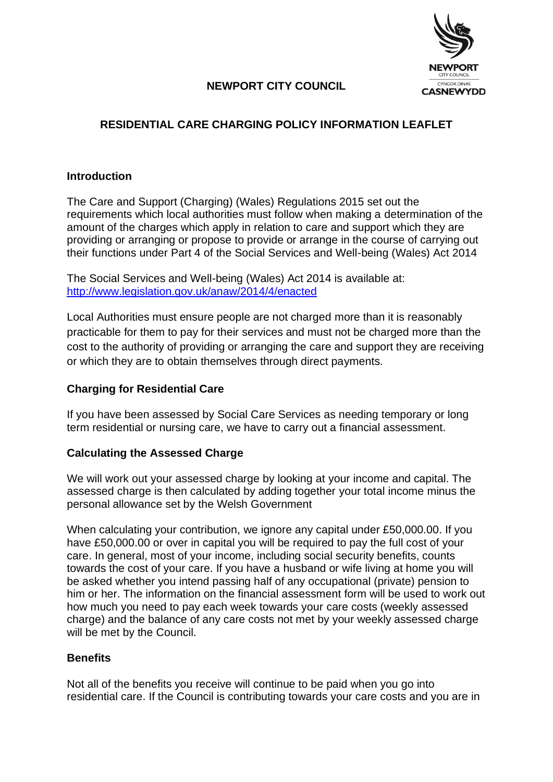

# **NEWPORT CITY COUNCIL**

# **RESIDENTIAL CARE CHARGING POLICY INFORMATION LEAFLET**

### **Introduction**

The Care and Support (Charging) (Wales) Regulations 2015 set out the requirements which local authorities must follow when making a determination of the amount of the charges which apply in relation to care and support which they are providing or arranging or propose to provide or arrange in the course of carrying out their functions under Part 4 of the Social Services and Well-being (Wales) Act 2014

The Social Services and Well-being (Wales) Act 2014 is available at: <http://www.legislation.gov.uk/anaw/2014/4/enacted>

Local Authorities must ensure people are not charged more than it is reasonably practicable for them to pay for their services and must not be charged more than the cost to the authority of providing or arranging the care and support they are receiving or which they are to obtain themselves through direct payments.

# **Charging for Residential Care**

If you have been assessed by Social Care Services as needing temporary or long term residential or nursing care, we have to carry out a financial assessment.

### **Calculating the Assessed Charge**

We will work out your assessed charge by looking at your income and capital. The assessed charge is then calculated by adding together your total income minus the personal allowance set by the Welsh Government

When calculating your contribution, we ignore any capital under £50,000.00. If you have £50,000.00 or over in capital you will be required to pay the full cost of your care. In general, most of your income, including social security benefits, counts towards the cost of your care. If you have a husband or wife living at home you will be asked whether you intend passing half of any occupational (private) pension to him or her. The information on the financial assessment form will be used to work out how much you need to pay each week towards your care costs (weekly assessed charge) and the balance of any care costs not met by your weekly assessed charge will be met by the Council.

### **Benefits**

Not all of the benefits you receive will continue to be paid when you go into residential care. If the Council is contributing towards your care costs and you are in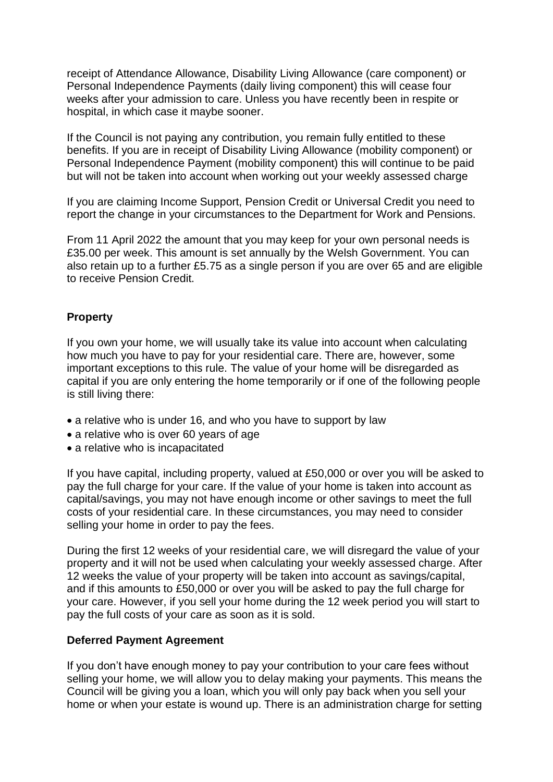receipt of Attendance Allowance, Disability Living Allowance (care component) or Personal Independence Payments (daily living component) this will cease four weeks after your admission to care. Unless you have recently been in respite or hospital, in which case it maybe sooner.

If the Council is not paying any contribution, you remain fully entitled to these benefits. If you are in receipt of Disability Living Allowance (mobility component) or Personal Independence Payment (mobility component) this will continue to be paid but will not be taken into account when working out your weekly assessed charge

If you are claiming Income Support, Pension Credit or Universal Credit you need to report the change in your circumstances to the Department for Work and Pensions.

From 11 April 2022 the amount that you may keep for your own personal needs is £35.00 per week. This amount is set annually by the Welsh Government. You can also retain up to a further £5.75 as a single person if you are over 65 and are eligible to receive Pension Credit.

## **Property**

If you own your home, we will usually take its value into account when calculating how much you have to pay for your residential care. There are, however, some important exceptions to this rule. The value of your home will be disregarded as capital if you are only entering the home temporarily or if one of the following people is still living there:

- a relative who is under 16, and who you have to support by law
- a relative who is over 60 years of age
- a relative who is incapacitated

If you have capital, including property, valued at £50,000 or over you will be asked to pay the full charge for your care. If the value of your home is taken into account as capital/savings, you may not have enough income or other savings to meet the full costs of your residential care. In these circumstances, you may need to consider selling your home in order to pay the fees.

During the first 12 weeks of your residential care, we will disregard the value of your property and it will not be used when calculating your weekly assessed charge. After 12 weeks the value of your property will be taken into account as savings/capital, and if this amounts to £50,000 or over you will be asked to pay the full charge for your care. However, if you sell your home during the 12 week period you will start to pay the full costs of your care as soon as it is sold.

#### **Deferred Payment Agreement**

If you don't have enough money to pay your contribution to your care fees without selling your home, we will allow you to delay making your payments. This means the Council will be giving you a loan, which you will only pay back when you sell your home or when your estate is wound up. There is an administration charge for setting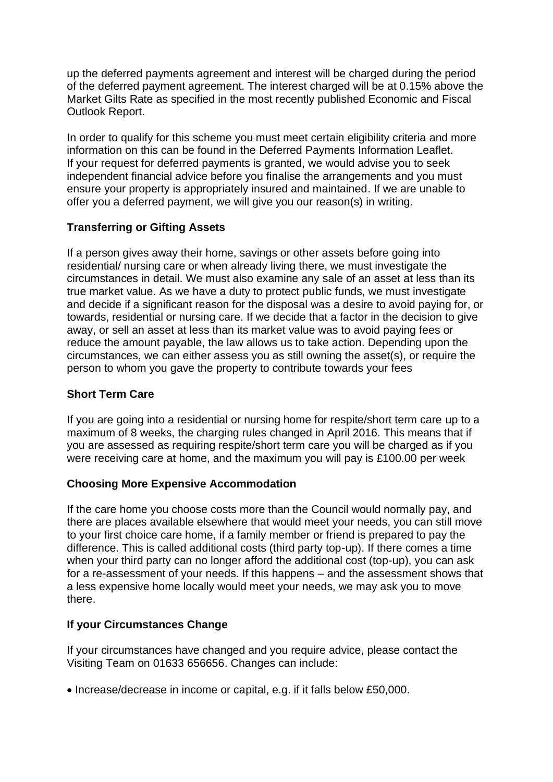up the deferred payments agreement and interest will be charged during the period of the deferred payment agreement. The interest charged will be at 0.15% above the Market Gilts Rate as specified in the most recently published Economic and Fiscal Outlook Report.

In order to qualify for this scheme you must meet certain eligibility criteria and more information on this can be found in the Deferred Payments Information Leaflet. If your request for deferred payments is granted, we would advise you to seek independent financial advice before you finalise the arrangements and you must ensure your property is appropriately insured and maintained. If we are unable to offer you a deferred payment, we will give you our reason(s) in writing.

## **Transferring or Gifting Assets**

If a person gives away their home, savings or other assets before going into residential/ nursing care or when already living there, we must investigate the circumstances in detail. We must also examine any sale of an asset at less than its true market value. As we have a duty to protect public funds, we must investigate and decide if a significant reason for the disposal was a desire to avoid paying for, or towards, residential or nursing care. If we decide that a factor in the decision to give away, or sell an asset at less than its market value was to avoid paying fees or reduce the amount payable, the law allows us to take action. Depending upon the circumstances, we can either assess you as still owning the asset(s), or require the person to whom you gave the property to contribute towards your fees

# **Short Term Care**

If you are going into a residential or nursing home for respite/short term care up to a maximum of 8 weeks, the charging rules changed in April 2016. This means that if you are assessed as requiring respite/short term care you will be charged as if you were receiving care at home, and the maximum you will pay is £100.00 per week

# **Choosing More Expensive Accommodation**

If the care home you choose costs more than the Council would normally pay, and there are places available elsewhere that would meet your needs, you can still move to your first choice care home, if a family member or friend is prepared to pay the difference. This is called additional costs (third party top-up). If there comes a time when your third party can no longer afford the additional cost (top-up), you can ask for a re-assessment of your needs. If this happens – and the assessment shows that a less expensive home locally would meet your needs, we may ask you to move there.

### **If your Circumstances Change**

If your circumstances have changed and you require advice, please contact the Visiting Team on 01633 656656. Changes can include:

• Increase/decrease in income or capital, e.g. if it falls below £50,000.